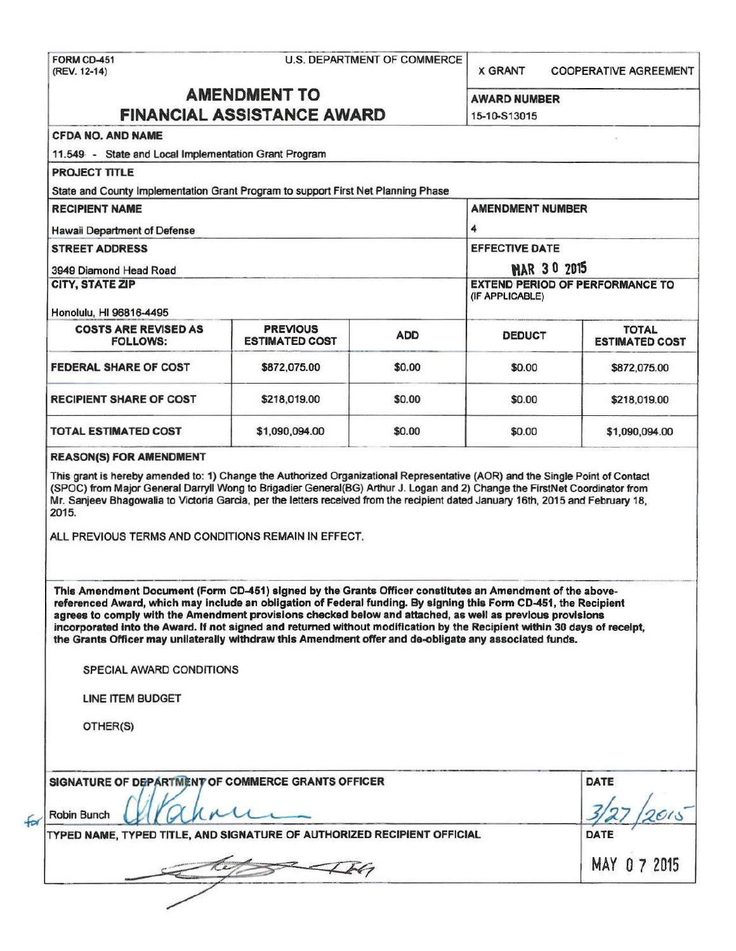X GRANT COOPERATIVE AGREEMENT

# AMENDMENT TO AWARD NUMBER

|                                                                                                                                                                                                                                                                                                                                                                                                                                                                  | <b>FINANCIAL ASSISTANCE AWARD</b>        |            |                                                           |                                       |  |
|------------------------------------------------------------------------------------------------------------------------------------------------------------------------------------------------------------------------------------------------------------------------------------------------------------------------------------------------------------------------------------------------------------------------------------------------------------------|------------------------------------------|------------|-----------------------------------------------------------|---------------------------------------|--|
| <b>CFDA NO. AND NAME</b>                                                                                                                                                                                                                                                                                                                                                                                                                                         |                                          |            |                                                           |                                       |  |
| 11.549 - State and Local Implementation Grant Program                                                                                                                                                                                                                                                                                                                                                                                                            |                                          |            |                                                           |                                       |  |
| <b>PROJECT TITLE</b>                                                                                                                                                                                                                                                                                                                                                                                                                                             |                                          |            |                                                           |                                       |  |
| State and County Implementation Grant Program to support First Net Planning Phase                                                                                                                                                                                                                                                                                                                                                                                |                                          |            |                                                           |                                       |  |
| <b>RECIPIENT NAME</b>                                                                                                                                                                                                                                                                                                                                                                                                                                            |                                          |            | <b>AMENDMENT NUMBER</b>                                   |                                       |  |
| Hawaii Department of Defense                                                                                                                                                                                                                                                                                                                                                                                                                                     |                                          |            | 4                                                         |                                       |  |
| <b>STREET ADDRESS</b>                                                                                                                                                                                                                                                                                                                                                                                                                                            |                                          |            | <b>EFFECTIVE DATE</b>                                     |                                       |  |
| 3949 Diamond Head Road<br>CITY, STATE ZIP                                                                                                                                                                                                                                                                                                                                                                                                                        |                                          |            | <b>MAR 30 2015</b>                                        |                                       |  |
|                                                                                                                                                                                                                                                                                                                                                                                                                                                                  |                                          |            | <b>EXTEND PERIOD OF PERFORMANCE TO</b><br>(IF APPLICABLE) |                                       |  |
| Honolulu, HI 96816-4495                                                                                                                                                                                                                                                                                                                                                                                                                                          |                                          |            |                                                           |                                       |  |
| <b>COSTS ARE REVISED AS</b><br><b>FOLLOWS:</b>                                                                                                                                                                                                                                                                                                                                                                                                                   | <b>PREVIOUS</b><br><b>ESTIMATED COST</b> | <b>ADD</b> | <b>DEDUCT</b>                                             | <b>TOTAL</b><br><b>ESTIMATED COST</b> |  |
| <b>FEDERAL SHARE OF COST</b>                                                                                                                                                                                                                                                                                                                                                                                                                                     | \$872,075.00                             | \$0.00     | \$0.00                                                    | \$872,075.00                          |  |
| <b>RECIPIENT SHARE OF COST</b>                                                                                                                                                                                                                                                                                                                                                                                                                                   | \$218,019.00                             | \$0.00     | \$0.00                                                    | \$218,019.00                          |  |
| <b>TOTAL ESTIMATED COST</b>                                                                                                                                                                                                                                                                                                                                                                                                                                      | \$1,090,094.00                           | \$0.00     | \$0.00                                                    | \$1,090,094.00                        |  |
| This grant is hereby amended to: 1) Change the Authorized Organizational Representative (AOR) and the Single Point of Contact<br>(SPOC) from Major General Darryll Wong to Brigadier General(BG) Arthur J. Logan and 2) Change the FirstNet Coordinator from<br>Mr. Sanjeev Bhagowalia to Victoria Garcia, per the letters received from the recipient dated January 16th, 2015 and February 18,<br>2015.<br>ALL PREVIOUS TERMS AND CONDITIONS REMAIN IN EFFECT. |                                          |            |                                                           |                                       |  |
| This Amendment Document (Form CD-451) signed by the Grants Officer constitutes an Amendment of the above-<br>referenced Award, which may include an obligation of Federal funding. By signing this Form CD-451, the Recipient                                                                                                                                                                                                                                    |                                          |            |                                                           |                                       |  |
| agrees to comply with the Amendment provisions checked below and attached, as well as previous provisions<br>incorporated into the Award. If not signed and returned without modification by the Recipient within 30 days of receipt,<br>the Grants Officer may unilaterally withdraw this Amendment offer and de-obligate any associated funds.                                                                                                                 |                                          |            |                                                           |                                       |  |
| SPECIAL AWARD CONDITIONS                                                                                                                                                                                                                                                                                                                                                                                                                                         |                                          |            |                                                           |                                       |  |
| LINE ITEM BUDGET                                                                                                                                                                                                                                                                                                                                                                                                                                                 |                                          |            |                                                           |                                       |  |
| OTHER(S)                                                                                                                                                                                                                                                                                                                                                                                                                                                         |                                          |            |                                                           |                                       |  |
| SIGNATURE OF DEPARTMENT OF COMMERCE GRANTS OFFICER                                                                                                                                                                                                                                                                                                                                                                                                               |                                          |            |                                                           | <b>DATE</b>                           |  |
| <b>Robin Bunch</b>                                                                                                                                                                                                                                                                                                                                                                                                                                               |                                          |            |                                                           |                                       |  |
| TYPED NAME, TYPED TITLE, AND SIGNATURE OF AUTHORIZED RECIPIENT OFFICIAL                                                                                                                                                                                                                                                                                                                                                                                          |                                          |            |                                                           | DATE                                  |  |
|                                                                                                                                                                                                                                                                                                                                                                                                                                                                  |                                          |            |                                                           | MAY 0 7 2015                          |  |